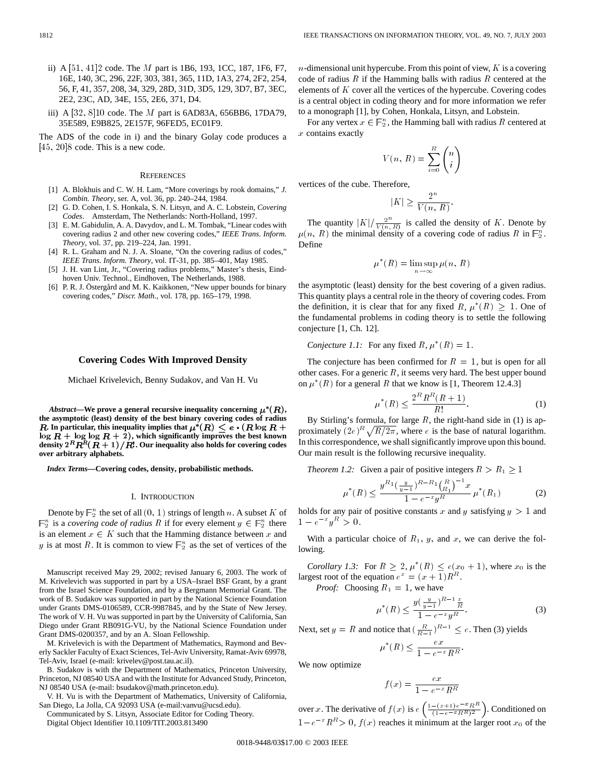- ii) A [51; 41]2 code. The M part is 1B6, 193, 1CC, 187, 1F6, F7, 16E, 140, 3C, 296, 22F, 303, 381, 365, 11D, 1A3, 274, 2F2, 254, 56, F, 41, 357, 208, 34, 329, 28D, 31D, 3D5, 129, 3D7, B7, 3EC, 2E2, 23C, AD, 34E, 155, 2E6, 371, D4.
- iii) A  $[32, 8]10$  code. The *M* part is 6AD83A, 656BB6, 17DA79, 35E589, E9B825, 2E157F, 96FED5, EC01F9.

The ADS of the code in i) and the binary Golay code produces a  $[45, 20]$ 8 code. This is a new code.

#### **REFERENCES**

- [1] A. Blokhuis and C. W. H. Lam, "More coverings by rook domains," *J. Combin. Theory*, ser. A, vol. 36, pp. 240–244, 1984.
- [2] G. D. Cohen, I. S. Honkala, S. N. Litsyn, and A. C. Lobstein, *Covering Codes*. Amsterdam, The Netherlands: North-Holland, 1997.
- [3] E. M. Gabidulin, A. A. Davydov, and L. M. Tombak, "Linear codes with covering radius 2 and other new covering codes," *IEEE Trans. Inform. Theory*, vol. 37, pp. 219–224, Jan. 1991.
- [4] R. L. Graham and N. J. A. Sloane, "On the covering radius of codes," *IEEE Trans. Inform. Theory*, vol. IT-31, pp. 385–401, May 1985.
- [5] J. H. van Lint, Jr., "Covering radius problems," Master's thesis, Eindhoven Univ. Technol., Eindhoven, The Netherlands, 1988.
- [6] P. R. J. Östergård and M. K. Kaikkonen, "New upper bounds for binary covering codes," *Discr. Math.*, vol. 178, pp. 165–179, 1998.

# **Covering Codes With Improved Density**

Michael Krivelevich, Benny Sudakov, and Van H. Vu

*Abstract*—We prove a general recursive inequality concerning  $\mu^*(R)$ , **the asymptotic (least) density of the best binary covering codes of radius R.** In particular, this inequality implies that  $\mu^*(R) \leq e \cdot (R \log R +$  $\log R + \log \log R + 2$ , which significantly improves the best known density  $2^R \overline{R^R} (\overline{R} + 1) / R!$ . Our inequality also holds for covering codes **over arbitrary alphabets.**

*Index Terms—***Covering codes, density, probabilistic methods.**

#### I. INTRODUCTION

Denote by  $\mathbb{F}_2^n$  the set of all  $(0, 1)$  strings of length n. A subset K of n<br> $\mathbb{F}_2^n$  is a covering code of radius B if for every element  $u \in \mathbb{F}^n$  there  $n_2^n$  is a *covering code of radius* R if for every element  $y \in \mathbb{F}_2^n$  there is an element  $x \in K$  such that the Hamming distance between x and y is at most R. It is common to view  $\mathbb{F}_2^n$  as the set of vertices of the

Manuscript received May 29, 2002; revised January 6, 2003. The work of M. Krivelevich was supported in part by a USA–Israel BSF Grant, by a grant from the Israel Science Foundation, and by a Bergmann Memorial Grant. The work of B. Sudakov was supported in part by the National Science Foundation under Grants DMS-0106589, CCR-9987845, and by the State of New Jersey. The work of V. H. Vu was supported in part by the University of California, San Diego under Grant RB091G-VU, by the National Science Foundation under Grant DMS-0200357, and by an A. Sloan Fellowship.

M. Krivelevich is with the Department of Mathematics, Raymond and Beverly Sackler Faculty of Exact Sciences, Tel-Aviv University, Ramat-Aviv 69978, Tel-Aviv, Israel (e-mail: krivelev@post.tau.ac.il).

B. Sudakov is with the Department of Mathematics, Princeton University, Princeton, NJ 08540 USA and with the Institute for Advanced Study, Princeton, NJ 08540 USA (e-mail: bsudakov@math.princeton.edu).

V. H. Vu is with the Department of Mathematics, University of California, San Diego, La Jolla, CA 92093 USA (e-mail:vanvu@ucsd.edu).

Communicated by S. Litsyn, Associate Editor for Coding Theory. Digital Object Identifier 10.1109/TIT.2003.813490

 $n$ -dimensional unit hypercube. From this point of view,  $K$  is a covering code of radius  $R$  if the Hamming balls with radius  $R$  centered at the elements of  $K$  cover all the vertices of the hypercube. Covering codes is a central object in coding theory and for more information we refer to a monograph [1], by Cohen, Honkala, Litsyn, and Lobstein.

For any vertex  $x \in \mathbb{F}_2^n$ , the Hamming ball with radius R centered at  $x$  contains exactly

$$
V(n, R) = \sum_{i=0}^{R} \binom{n}{i}
$$

vertices of the cube. Therefore,

$$
|K| \ge \frac{2^n}{V(n, R)}
$$

:

The quantity  $|K|/\frac{2^n}{V(n, R)}$  is called the density of K. Denote by  $\mu(n, R)$  the minimal density of a covering code of radius R in  $\mathbb{F}_2^n$ . Define

$$
\mu^*(R) = \limsup_{n \to \infty} \mu(n, R)
$$

the asymptotic (least) density for the best covering of a given radius. This quantity plays a central role in the theory of covering codes. From the definition, it is clear that for any fixed R,  $\mu^*(R) \geq 1$ . One of the fundamental problems in coding theory is to settle the following conjecture [1, Ch. 12].

*Conjecture 1.1:* For any fixed  $R, \mu^*(R)=1$ .

The conjecture has been confirmed for  $R = 1$ , but is open for all other cases. For a generic  $R$ , it seems very hard. The best upper bound on  $\mu^*(R)$  for a general R that we know is [1, Theorem 12.4.3]

$$
\mu^*(R) \le \frac{2^R R^R (R+1)}{R!}.
$$
 (1)

By Stirling's formula, for large  $R$ , the right-hand side in (1) is approximately  $(2e)^R \sqrt{R/2\pi}$ , where e is the base of natural logarithm. In this correspondence, we shall significantly improve upon this bound. Our main result is the following recursive inequality.

*Theorem 1.2:* Given a pair of positive integers  $R > R_1 \geq 1$ 

$$
\mu^*(R) \le \frac{y^{R_1} \left(\frac{y}{y-1}\right)^{R-R_1} \left(\frac{R}{R_1}\right)^{-1} x}{1 - e^{-x} y^R} \mu^*(R_1)
$$
 (2)

holds for any pair of positive constants x and y satisfying  $y > 1$  and  $1 - e^{-x} y^R > 0.$ 

With a particular choice of  $R_1$ , y, and x, we can derive the following.

*Corollary 1.3:* For  $R \geq 2$ ,  $\mu^*(R) \leq e(x_0 + 1)$ , where  $x_0$  is the largest root of the equation  $e^x = (x + 1)R^R$ .

*Proof:* Choosing  $R_1 = 1$ , we have

$$
\mu^*(R) \le \frac{y(\frac{y}{y-1})^{R-1}\frac{x}{R}}{1 - e^{-x}y^R}.
$$
\n(3)

Next, set  $y = R$  and notice that  $\left(\frac{R}{R-1}\right)^{R-1} \leq e$ . Then (3) yields

$$
\mu^*(R) \le \frac{ex}{1 - e^{-x}R^R}.
$$

We now optimize

$$
f(x) = \frac{ex}{1 - e^{-x}R^R}
$$

over x. The derivative of  $f(x)$  is  $e\left(\frac{1-(x+1)e^{-x}R^R}{(1-e^{-x}R^R)^2}\right)$ . Conditioned on  $1-e^{-x}R^R>0$ ,  $f(x)$  reaches it minimum at the larger root  $x_0$  of the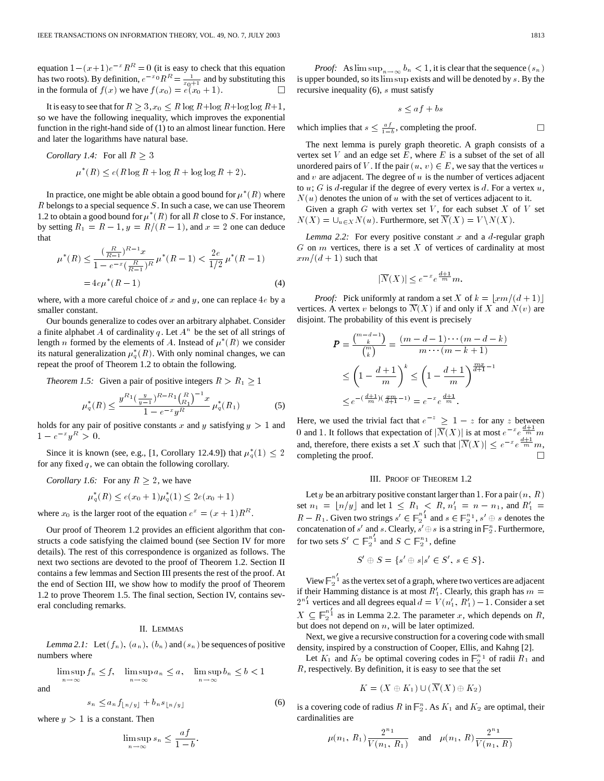IEEE TRANSACTIONS ON INFORMATION THEORY, VOL. 49, NO. 7, JULY 2003<br>equation  $1 - (x+1)e^{-x}R^R = 0$  (it is easy to check that this equation equation  $1 - (x+1)e^{-x}R^R = 0$  (it is easy to check that this equation has two roots). By definition,  $e^{-x_0}R^R = \frac{1}{x_0+1}$  and by substituting this in the formula of  $f(x)$  we have  $f(x_0) = e(x_0 + 1)$ .

It is easy to see that for  $R \geq 3$ ,  $x_0 \leq R \log R + \log R + \log R + 1$ , so we have the following inequality, which improves the exponential function in the right-hand side of (1) to an almost linear function. Here and later the logarithms have natural base.

Corollary 1.4: For all 
$$
R \geq 3
$$

 $\mu^*(R) \leq e(R \log R + \log R + \log \log R + 2).$ 

In practice, one might be able obtain a good bound for  $\mu^*(R)$  where  $R$  belongs to a special sequence  $S$ . In such a case, we can use Theorem 1.2 to obtain a good bound for  $\mu^*(R)$  for all R close to S. For instance, by setting  $R_1 = R - 1$ ,  $y = R/(R - 1)$ , and  $x = 2$  one can deduce that

$$
\mu^*(R) \le \frac{\left(\frac{R}{R-1}\right)^{R-1} x}{1 - e^{-x} \left(\frac{R}{R-1}\right)^R} \mu^*(R-1) < \frac{2e}{1/2} \mu^*(R-1)
$$
\n
$$
= 4e\mu^*(R-1) \tag{4}
$$

where, with a more careful choice of x and y, one can replace  $4e$  by a smaller constant.

Our bounds generalize to codes over an arbitrary alphabet. Consider a finite alphabet A of cardinality q. Let  $A^n$  be the set of all strings of length *n* formed by the elements of A. Instead of  $\mu^*(R)$  we consider its natural generalization  $\mu_q^*(R)$ . With only nominal changes, we can repeat the proof of Theorem 1.2 to obtain the following.

*Theorem 1.5:* Given a pair of positive integers  $R > R_1 \ge 1$ 

$$
\mu_q^*(R) \le \frac{y^{R_1} \left(\frac{y}{y-1}\right)^{R-R_1} \left(\frac{R}{R_1}\right)^{-1} x}{1 - e^{-x} y^R} \mu_q^*(R_1)
$$
\n<sup>(5)</sup>

holds for any pair of positive constants x and y satisfying  $y > 1$  and  $1 - e^{-x} y^R > 0.$ 

Since it is known (see, e.g., [1, Corollary 12.4.9]) that  $\mu_q^*(1) \leq 2$ for any fixed  $q$ , we can obtain the following corollary.

*Corollary 1.6:* For any  $R \geq 2$ , we have

 $\mu_q^*(R) \leq e(x_0+1)\mu_q^*(1) \leq 2e(x_0+1)$ 

where  $x_0$  is the larger root of the equation  $e^x = (x + 1)R^R$ .

Our proof of Theorem 1.2 provides an efficient algorithm that constructs a code satisfying the claimed bound (see Section IV for more details). The rest of this correspondence is organized as follows. The next two sections are devoted to the proof of Theorem 1.2. Section II contains a few lemmas and Section III presents the rest of the proof. At the end of Section III, we show how to modify the proof of Theorem 1.2 to prove Theorem 1.5. The final section, Section IV, contains several concluding remarks.

### II. LEMMAS

*Lemma 2.1:* Let  $(f_n)$ ,  $(a_n)$ ,  $(b_n)$  and  $(s_n)$  be sequences of positive numbers where

$$
\limsup_{n \to \infty} f_n \le f, \quad \limsup_{n \to \infty} a_n \le a, \quad \limsup_{n \to \infty} b_n \le b < 1
$$

and

$$
s_n \le a_n f_{\lfloor n/y \rfloor} + b_n s_{\lfloor n/y \rfloor} \tag{6}
$$

where  $y > 1$  is a constant. Then

$$
\limsup_{n \to \infty} s_n \le \frac{af}{1 - b}.
$$

*Proof:* As  $\limsup_{n\to\infty} b_n < 1$ , it is clear that the sequence  $(s_n)$ is upper bounded, so its lim sup exists and will be denoted by s. By the recursive inequality (6), s must satisfy

$$
s \le af + bs
$$

which implies that  $s \leq \frac{af}{1-b}$ , completing the proof.

The next lemma is purely graph theoretic. A graph consists of a vertex set V and an edge set E, where E is a subset of the set of all unordered pairs of V. If the pair  $(u, v) \in E$ , we say that the vertices u and  $v$  are adjacent. The degree of  $u$  is the number of vertices adjacent to  $u$ ; G is d-regular if the degree of every vertex is d. For a vertex  $u$ ,  $N(u)$  denotes the union of u with the set of vertices adjacent to it.

Given a graph  $G$  with vertex set  $V$ , for each subset  $X$  of  $V$  set  $N(X) = \bigcup_{u \in X} N(u)$ . Furthermore, set  $N(X) = V \setminus N(X)$ .

*Lemma 2.2:* For every positive constant x and a  $d$ -regular graph  $G$  on  $m$  vertices, there is a set  $X$  of vertices of cardinality at most  $xm/(d + 1)$  such that

$$
|\overline{N}(X)| \le e^{-x} e^{\frac{d+1}{m}} m.
$$

*Proof:* Pick uniformly at random a set X of  $k = |xm/(d + 1)|$ vertices. A vertex v belongs to  $N(X)$  if and only if X and  $N(v)$  are disjoint. The probability of this event is precisely

$$
P = \frac{\binom{m-d-1}{k}}{\binom{m}{k}} = \frac{(m-d-1)\cdots(m-d-k)}{m\cdots(m-k+1)}
$$
  
\n
$$
\leq \left(1 - \frac{d+1}{m}\right)^k \leq \left(1 - \frac{d+1}{m}\right)^{\frac{mx}{d+1}-1}
$$
  
\n
$$
\leq e^{-\left(\frac{d+1}{m}\right)\left(\frac{x}{d+1}-1\right)} = e^{-x} e^{\frac{d+1}{m}}.
$$

Here, we used the trivial fact that  $e^{-z} \geq 1 - z$  for any z between 0 and 1. It follows that expectation of  $|\overline{N}(X)|$  is at most  $e^{-x}e^{\frac{d+1}{m}}m$ and, therefore, there exists a set X such that  $|\overline{N}(X)| \leq e^{-x} e^{\frac{d+1}{m}} m$ , completing the proof.

## III. PROOF OF THEOREM 1.2

Let y be an arbitrary positive constant larger than 1. For a pair  $(n, R)$ set  $n_1 = \lfloor n/y \rfloor$  and let  $1 \leq R_1 < R$ ,  $n_1' = n - n_1$ , and  $R_1' =$  $R - R_1$ . Given two strings  $s' \in \mathbb{F}_2^{n'_1}$  and  $s \in \mathbb{F}_2^{n_1}$ ,  $s' \oplus s$  denotes the concatenation of  $s'$  and  $s$ . Clearly,  $s' \oplus s$  is a string in  $\mathbb{F}_2^n$ . Furthermore, for two sets  $S' \subset \mathbb{F}_2^{n'_1}$  and  $S \subset \mathbb{F}_2^{n_1}$ , define

$$
S' \oplus S = \{s' \oplus s | s' \in S', s \in S\}.
$$

View  $\mathbb{F}_2^{n'_1}$  as the vertex set of a graph, where two vertices are adjacent if their Hamming distance is at most  $R'_1$ . Clearly, this graph has  $m =$  $2^{n'_1}$  vertices and all degrees equal  $d = V(n'_1, R'_1) - 1$ . Consider a set  $X \subseteq \mathbb{F}_2^{n'_1}$  as in Lemma 2.2. The parameter x, which depends on R, but does not depend on  $n$ , will be later optimized.

Next, we give a recursive construction for a covering code with small density, inspired by a construction of Cooper, Ellis, and Kahng [2].

Let  $K_1$  and  $K_2$  be optimal covering codes in  $\mathbb{F}_2^{n_1}$  of radii  $R_1$  and  $R$ , respectively. By definition, it is easy to see that the set

$$
K=(X\oplus K_1)\cup(\overline{N}(X)\oplus K_2)
$$

is a covering code of radius  $R$  in  $\mathbb{F}_2^n$ . As  $K_1$  and  $K_2$  are optimal, their cardinalities are

$$
\mu(n_1, R_1) \frac{2^{n_1}}{V(n_1, R_1)}
$$
 and  $\mu(n_1, R) \frac{2^{n_1}}{V(n_1, R)}$ 

 $\Box$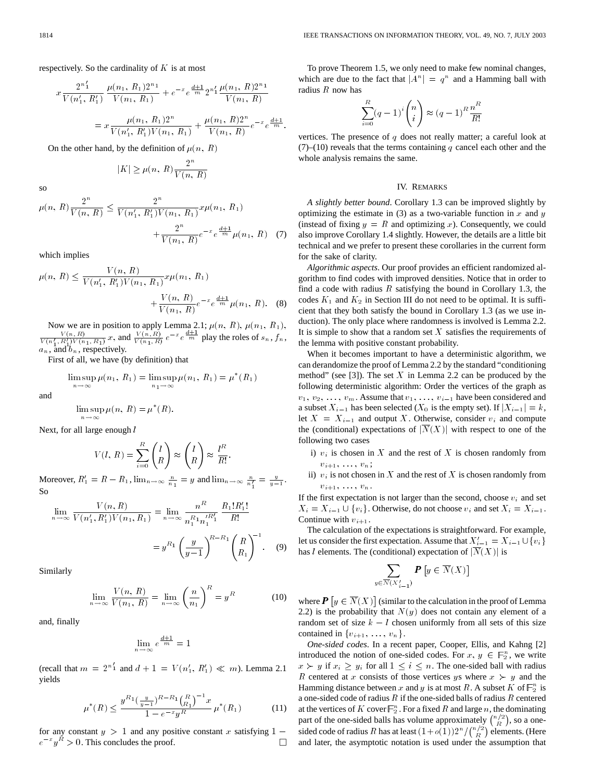respectively. So the cardinality of  $K$  is at most

$$
x \frac{2^{n'_1}}{V(n'_1, R'_1)} \frac{\mu(n_1, R_1)2^{n_1}}{V(n_1, R_1)} + e^{-x} e^{\frac{d+1}{m}} 2^{n'_1} \frac{\mu(n_1, R)2^{n_1}}{V(n_1, R)}
$$
  
= 
$$
x \frac{\mu(n_1, R_1)2^n}{V(n'_1, R'_1)V(n_1, R_1)} + \frac{\mu(n_1, R)2^n}{V(n_1, R)} e^{-x} e^{\frac{d+1}{m}}.
$$

On the other hand, by the definition of  $\mu(n, R)$ 

$$
|K|\geq \mu(n,\,R)\frac{2^n}{V(n,\,R)}
$$

so

$$
\mu(n, R) \frac{2^n}{V(n, R)} \le \frac{2^n}{V(n'_1, R'_1)V(n_1, R_1)} x \mu(n_1, R_1)
$$

$$
+ \frac{2^n}{V(n_1, R)} e^{-x} e^{\frac{d+1}{m}} \mu(n_1, R) \quad (7)
$$

which implies

$$
\mu(n, R) \le \frac{V(n, R)}{V(n'_1, R'_1)V(n_1, R_1)} x \mu(n_1, R_1)
$$

$$
+ \frac{V(n, R)}{V(n_1, R)} e^{-x} e^{\frac{d+1}{m}} \mu(n_1, R). \quad (8)
$$

Now we are in position to apply Lemma 2.1;  $\mu(n, R)$ ,  $\mu(n_1, R_1)$ ,  $\frac{V(n, R)}{V(n_1, R_1)V(n_1, R_1)}x$ , and  $\frac{V(n, R)}{V(n_1, R)}e^{-x}e^{\frac{d+1}{m}}$  play the roles of  $s_n$ ,  $f_n$ ,  $a_n$ , and  $b_n$ , respectively.

First of all, we have (by definition) that

$$
\limsup_{n \to \infty} \mu(n_1, R_1) = \limsup_{n_1 \to \infty} \mu(n_1, R_1) = \mu^*(R_1)
$$

and

$$
\limsup_{n \to \infty} \mu(n, R) = \mu^*(R).
$$

Next, for all large enough *l* 

$$
V(l, R) = \sum_{i=0}^{R} \binom{l}{R} \approx \binom{l}{R} \approx \frac{l^R}{R!}.
$$

Moreover,  $R'_1 = R - R_1$ ,  $\lim_{n \to \infty} \frac{n}{n_1} = y$  and  $\lim_{n \to \infty} \frac{n}{n_1'} = \frac{y}{y-1}$ . So

$$
\lim_{n \to \infty} \frac{V(n, R)}{V(n'_1, R'_1)V(n_1, R_1)} = \lim_{n \to \infty} \frac{n^R}{n_1^{R_1} n_1'^{R'_1}} \frac{R_1! R'_1!}{R!}
$$

$$
= y^{R_1} \left(\frac{y}{y-1}\right)^{R-R_1} \left(\frac{R}{R_1}\right)^{-1}.
$$
 (9)

Similarly

$$
\lim_{n \to \infty} \frac{V(n, R)}{V(n_1, R)} = \lim_{n \to \infty} \left(\frac{n}{n_1}\right)^R = y^R
$$
 (10)

and, finally

$$
\lim_{n \to \infty} e^{\frac{d+1}{m}} = 1
$$

(recall that  $m = 2^{n'_1}$  and  $d + 1 = V(n'_1, R'_1) \ll m$ ). Lemma 2.1 yields

$$
\mu^*(R) \le \frac{y^{R_1} \left(\frac{y}{y-1}\right)^{R-R_1} \left(\frac{R}{R_1}\right)^{-1} x}{1 - e^{-x} y^R} \mu^*(R_1)
$$
(11)

for any constant  $y > 1$  and any positive constant x satisfying  $1$  $e^{-x}y^R > 0$ . This concludes the proof.  $\Box$ 

To prove Theorem 1.5, we only need to make few nominal changes, which are due to the fact that  $|A^n| = q^n$  and a Hamming ball with radius  $R$  now has

$$
\sum_{i=0}^{R} (q-1)^i \binom{n}{i} \approx (q-1)^R \frac{n^R}{R!}
$$

vertices. The presence of  $q$  does not really matter; a careful look at  $(7)$ –(10) reveals that the terms containing q cancel each other and the whole analysis remains the same.

# IV. REMARKS

*A slightly better bound*. Corollary 1.3 can be improved slightly by optimizing the estimate in (3) as a two-variable function in x and  $y$ (instead of fixing  $y = R$  and optimizing x). Consequently, we could also improve Corollary 1.4 slightly. However, the details are a little bit technical and we prefer to present these corollaries in the current form for the sake of clarity.

*Algorithmic aspects*. Our proof provides an efficient randomized algorithm to find codes with improved densities. Notice that in order to find a code with radius  $R$  satisfying the bound in Corollary 1.3, the codes  $K_1$  and  $K_2$  in Section III do not need to be optimal. It is sufficient that they both satisfy the bound in Corollary 1.3 (as we use induction). The only place where randomness is involved is Lemma 2.2. It is simple to show that a random set  $X$  satisfies the requirements of the lemma with positive constant probability.

When it becomes important to have a deterministic algorithm, we can derandomize the proof of Lemma 2.2 by the standard "conditioning method" (see [3]). The set  $X$  in Lemma 2.2 can be produced by the following deterministic algorithm: Order the vertices of the graph as  $v_1, v_2, \ldots, v_m$ . Assume that  $v_1, \ldots, v_{i-1}$  have been considered and a subset  $X_{i-1}$  has been selected  $(X_0$  is the empty set). If  $|X_{i-1}| = k$ , let  $X = X_{i-1}$  and output X. Otherwise, consider  $v_i$  and compute the (conditional) expectations of  $|\overline{N}(X)|$  with respect to one of the following two cases

- i)  $v_i$  is chosen in X and the rest of X is chosen randomly from  $v_{i+1}, \ldots, v_n;$
- ii)  $v_i$  is not chosen in X and the rest of X is chosen randomly from  $v_{i+1}, \ldots, v_n$ .

If the first expectation is not larger than the second, choose  $v_i$  and set  $X_i = X_{i-1} \cup \{v_i\}$ . Otherwise, do not choose  $v_i$  and set  $X_i = X_{i-1}$ . Continue with  $v_{i+1}$ .

The calculation of the expectations is straightforward. For example, let us consider the first expectation. Assume that  $X'_{i-1} = X_{i-1} \cup \{v_i\}$ has l elements. The (conditional) expectation of  $|\overline{N}(X)|$  is

$$
\sum_{y \in \overline{N}(X'_{i-1})} \mathbf{P}\left[y \in \overline{N}(X)\right]
$$

where  $P \left[ y \in \overline{N}(X) \right]$  (similar to the calculation in the proof of Lemma 2.2) is the probability that  $N(y)$  does not contain any element of a random set of size  $k - l$  chosen uniformly from all sets of this size contained in  $\{v_{i+1}, \ldots, v_n\}$ .

*One-sided codes*. In a recent paper, Cooper, Ellis, and Kahng [2] introduced the notion of one-sided codes. For  $x, y \in \mathbb{F}_2^n$ , we write  $x \succ y$  if  $x_i \geq y_i$  for all  $1 \leq i \leq n$ . The one-sided ball with radius R centered at x consists of those vertices ys where  $x \succ y$  and the Hamming distance between x and y is at most R. A subset K of  $\mathbb{F}_2^n$  is a one-sided code of radius  $R$  if the one-sided balls of radius  $R$  centered at the vertices of K cover  $\mathbb{F}_2^n$ . For a fixed R and large n, the dominating part of the one-sided balls has volume approximately  $\binom{n/2}{R}$ , so a onesided code of radius R has at least  $(1+o(1))2^n/{\binom{n/2}{R}}$  elements. (Here and later, the asymptotic notation is used under the assumption that